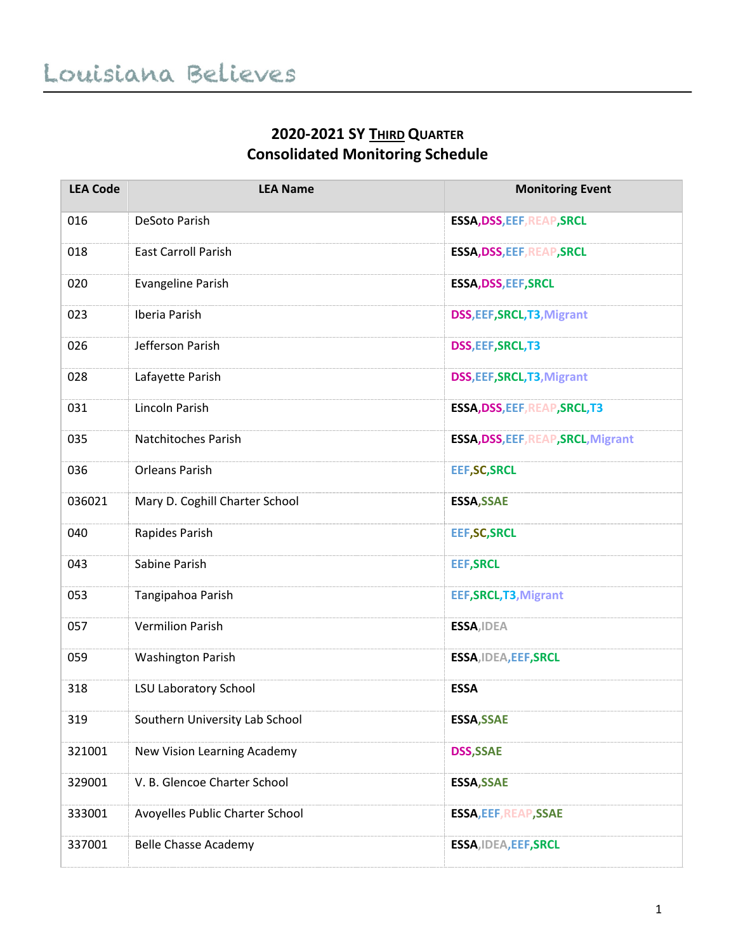## **2020-2021 SY THIRD QUARTER Consolidated Monitoring Schedule**

| <b>LEA Code</b> | <b>LEA Name</b>                 | <b>Monitoring Event</b>             |
|-----------------|---------------------------------|-------------------------------------|
| 016             | DeSoto Parish                   | <b>ESSA, DSS, EEF, REAP, SRCL</b>   |
| 018             | <b>East Carroll Parish</b>      | <b>ESSA, DSS, EEF, REAP, SRCL</b>   |
| 020             | <b>Evangeline Parish</b>        | <b>ESSA, DSS, EEF, SRCL</b>         |
| 023             | <b>Iberia Parish</b>            | DSS, EEF, SRCL, T3, Migrant         |
| 026             | Jefferson Parish                | DSS, EEF, SRCL, T3                  |
| 028             | Lafayette Parish                | DSS, EEF, SRCL, T3, Migrant         |
| 031             | Lincoln Parish                  | ESSA, DSS, EEF, REAP, SRCL, T3      |
| 035             | Natchitoches Parish             | ESSA, DSS, EEF, REAP, SRCL, Migrant |
| 036             | <b>Orleans Parish</b>           | <b>EEF, SC, SRCL</b>                |
| 036021          | Mary D. Coghill Charter School  | <b>ESSA, SSAE</b>                   |
| 040             | Rapides Parish                  | <b>EEF, SC, SRCL</b>                |
| 043             | Sabine Parish                   | <b>EEF, SRCL</b>                    |
| 053             | Tangipahoa Parish               | EEF, SRCL, T3, Migrant              |
| 057             | <b>Vermilion Parish</b>         | ESSA, IDEA                          |
| 059             | <b>Washington Parish</b>        | ESSA, IDEA, EEF, SRCL               |
| 318             | <b>LSU Laboratory School</b>    | <b>ESSA</b>                         |
| 319             | Southern University Lab School  | <b>ESSA, SSAE</b>                   |
| 321001          | New Vision Learning Academy     | <b>DSS, SSAE</b>                    |
| 329001          | V. B. Glencoe Charter School    | <b>ESSA, SSAE</b>                   |
| 333001          | Avoyelles Public Charter School | <b>ESSA, EEF, REAP, SSAE</b>        |
| 337001          | <b>Belle Chasse Academy</b>     | ESSA, IDEA, EEF, SRCL               |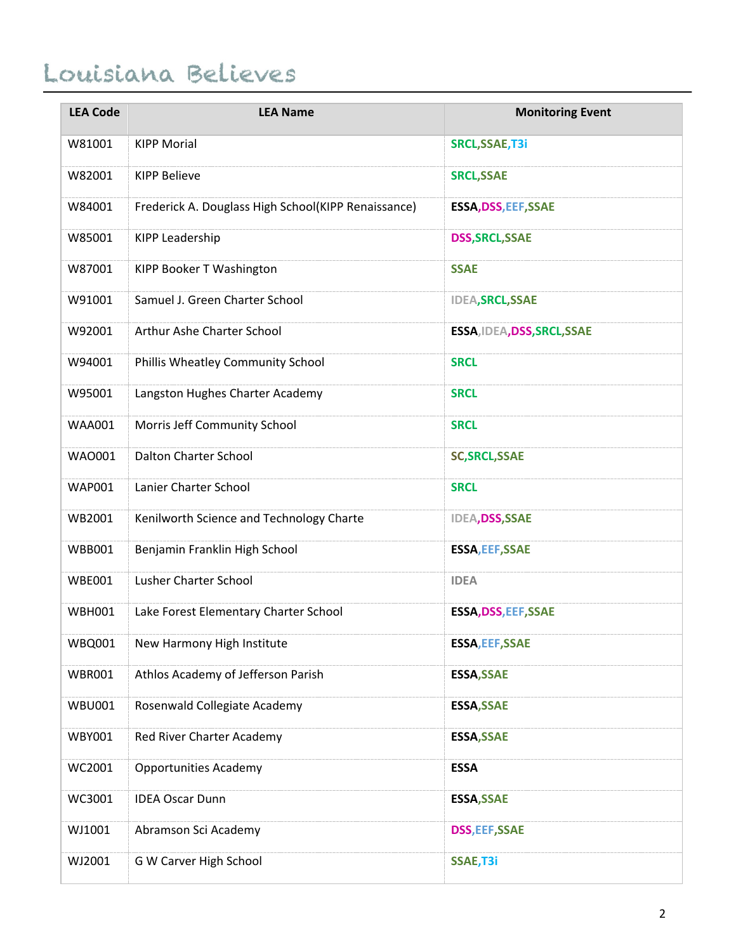## Louisiana Believes

| <b>LEA Code</b> | <b>LEA Name</b>                                     | <b>Monitoring Event</b>     |
|-----------------|-----------------------------------------------------|-----------------------------|
| W81001          | <b>KIPP Morial</b>                                  | SRCL, SSAE, T3i             |
| W82001          | <b>KIPP Believe</b>                                 | <b>SRCL, SSAE</b>           |
| W84001          | Frederick A. Douglass High School(KIPP Renaissance) | <b>ESSA, DSS, EEF, SSAE</b> |
| W85001          | <b>KIPP Leadership</b>                              | <b>DSS, SRCL, SSAE</b>      |
| W87001          | KIPP Booker T Washington                            | <b>SSAE</b>                 |
| W91001          | Samuel J. Green Charter School                      | <b>IDEA, SRCL, SSAE</b>     |
| W92001          | Arthur Ashe Charter School                          | ESSA, IDEA, DSS, SRCL, SSAE |
| W94001          | Phillis Wheatley Community School                   | <b>SRCL</b>                 |
| W95001          | Langston Hughes Charter Academy                     | <b>SRCL</b>                 |
| <b>WAA001</b>   | Morris Jeff Community School                        | <b>SRCL</b>                 |
| <b>WAO001</b>   | <b>Dalton Charter School</b>                        | <b>SC, SRCL, SSAE</b>       |
| <b>WAP001</b>   | Lanier Charter School                               | <b>SRCL</b>                 |
| WB2001          | Kenilworth Science and Technology Charte            | <b>IDEA, DSS, SSAE</b>      |
| <b>WBB001</b>   | Benjamin Franklin High School                       | <b>ESSA, EEF, SSAE</b>      |
| <b>WBE001</b>   | Lusher Charter School                               | <b>IDEA</b>                 |
| <b>WBH001</b>   | Lake Forest Elementary Charter School               | <b>ESSA, DSS, EEF, SSAE</b> |
| <b>WBQ001</b>   | New Harmony High Institute                          | <b>ESSA, EEF, SSAE</b>      |
| <b>WBR001</b>   | Athlos Academy of Jefferson Parish                  | <b>ESSA, SSAE</b>           |
| <b>WBU001</b>   | Rosenwald Collegiate Academy                        | <b>ESSA, SSAE</b>           |
| <b>WBY001</b>   | Red River Charter Academy                           | <b>ESSA, SSAE</b>           |
| WC2001          | <b>Opportunities Academy</b>                        | <b>ESSA</b>                 |
| WC3001          | <b>IDEA Oscar Dunn</b>                              | <b>ESSA, SSAE</b>           |
| WJ1001          | Abramson Sci Academy                                | <b>DSS, EEF, SSAE</b>       |
| WJ2001          | G W Carver High School                              | SSAE, T3i                   |